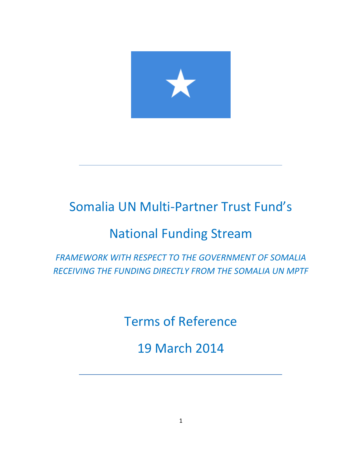

# Somalia UN Multi-Partner Trust Fund's

# National Funding Stream

*FRAMEWORK WITH RESPECT TO THE GOVERNMENT OF SOMALIA RECEIVING THE FUNDING DIRECTLY FROM THE SOMALIA UN MPTF*

Terms of Reference

19 March 2014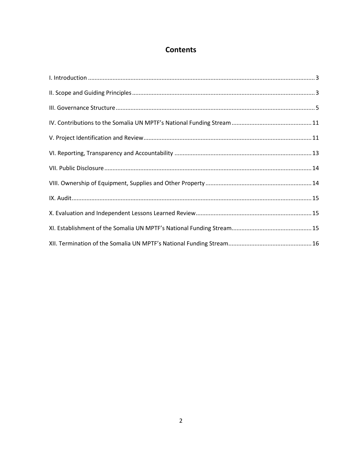# **Contents**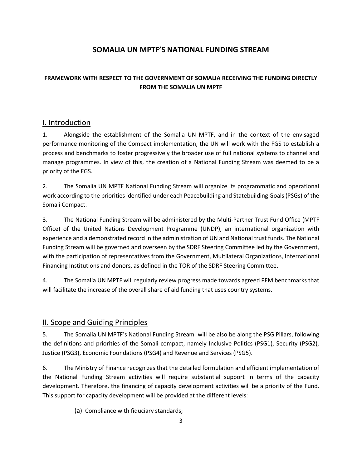## **SOMALIA UN MPTF'S NATIONAL FUNDING STREAM**

## **FRAMEWORK WITH RESPECT TO THE GOVERNMENT OF SOMALIA RECEIVING THE FUNDING DIRECTLY FROM THE SOMALIA UN MPTF**

## <span id="page-2-0"></span>I. Introduction

1. Alongside the establishment of the Somalia UN MPTF, and in the context of the envisaged performance monitoring of the Compact implementation, the UN will work with the FGS to establish a process and benchmarks to foster progressively the broader use of full national systems to channel and manage programmes. In view of this, the creation of a National Funding Stream was deemed to be a priority of the FGS.

2. The Somalia UN MPTF National Funding Stream will organize its programmatic and operational work according to the priorities identified under each Peacebuilding and Statebuilding Goals (PSGs) of the Somali Compact.

3. The National Funding Stream will be administered by the Multi-Partner Trust Fund Office (MPTF Office) of the United Nations Development Programme (UNDP), an international organization with experience and a demonstrated record in the administration of UN and National trust funds. The National Funding Stream will be governed and overseen by the SDRF Steering Committee led by the Government, with the participation of representatives from the Government, Multilateral Organizations, International Financing Institutions and donors, as defined in the TOR of the SDRF Steering Committee.

4. The Somalia UN MPTF will regularly review progress made towards agreed PFM benchmarks that will facilitate the increase of the overall share of aid funding that uses country systems.

## <span id="page-2-1"></span>II. Scope and Guiding Principles

5. The Somalia UN MPTF's National Funding Stream will be also be along the PSG Pillars, following the definitions and priorities of the Somali compact, namely Inclusive Politics (PSG1), Security (PSG2), Justice (PSG3), Economic Foundations (PSG4) and Revenue and Services (PSG5).

6. The Ministry of Finance recognizes that the detailed formulation and efficient implementation of the National Funding Stream activities will require substantial support in terms of the capacity development. Therefore, the financing of capacity development activities will be a priority of the Fund. This support for capacity development will be provided at the different levels:

(a) Compliance with fiduciary standards;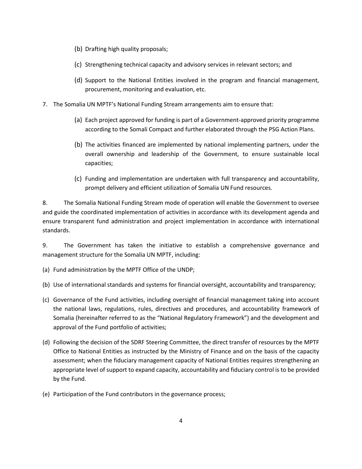- (b) Drafting high quality proposals;
- (c) Strengthening technical capacity and advisory services in relevant sectors; and
- (d) Support to the National Entities involved in the program and financial management, procurement, monitoring and evaluation, etc.
- 7. The Somalia UN MPTF's National Funding Stream arrangements aim to ensure that:
	- (a) Each project approved for funding is part of a Government-approved priority programme according to the Somali Compact and further elaborated through the PSG Action Plans.
	- (b) The activities financed are implemented by national implementing partners, under the overall ownership and leadership of the Government, to ensure sustainable local capacities;
	- (c) Funding and implementation are undertaken with full transparency and accountability, prompt delivery and efficient utilization of Somalia UN Fund resources.

8. The Somalia National Funding Stream mode of operation will enable the Government to oversee and guide the coordinated implementation of activities in accordance with its development agenda and ensure transparent fund administration and project implementation in accordance with international standards.

9. The Government has taken the initiative to establish a comprehensive governance and management structure for the Somalia UN MPTF, including:

(a) Fund administration by the MPTF Office of the UNDP;

(b) Use of international standards and systems for financial oversight, accountability and transparency;

- (c) Governance of the Fund activities, including oversight of financial management taking into account the national laws, regulations, rules, directives and procedures, and accountability framework of Somalia (hereinafter referred to as the "National Regulatory Framework") and the development and approval of the Fund portfolio of activities;
- (d) Following the decision of the SDRF Steering Committee, the direct transfer of resources by the MPTF Office to National Entities as instructed by the Ministry of Finance and on the basis of the capacity assessment; when the fiduciary management capacity of National Entities requires strengthening an appropriate level of support to expand capacity, accountability and fiduciary control is to be provided by the Fund.
- (e) Participation of the Fund contributors in the governance process;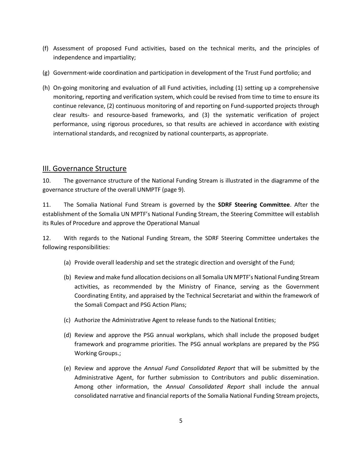- (f) Assessment of proposed Fund activities, based on the technical merits, and the principles of independence and impartiality;
- (g) Government-wide coordination and participation in development of the Trust Fund portfolio; and
- (h) On-going monitoring and evaluation of all Fund activities, including (1) setting up a comprehensive monitoring, reporting and verification system, which could be revised from time to time to ensure its continue relevance, (2) continuous monitoring of and reporting on Fund-supported projects through clear results- and resource-based frameworks, and (3) the systematic verification of project performance, using rigorous procedures, so that results are achieved in accordance with existing international standards, and recognized by national counterparts, as appropriate.

#### <span id="page-4-0"></span>III. Governance Structure

10. The governance structure of the National Funding Stream is illustrated in the diagramme of the governance structure of the overall UNMPTF (page 9).

11. The Somalia National Fund Stream is governed by the **SDRF Steering Committee**. After the establishment of the Somalia UN MPTF's National Funding Stream, the Steering Committee will establish its Rules of Procedure and approve the Operational Manual

12. With regards to the National Funding Stream, the SDRF Steering Committee undertakes the following responsibilities:

- (a) Provide overall leadership and set the strategic direction and oversight of the Fund;
- (b) Review and make fund allocation decisions on all Somalia UN MPTF's National Funding Stream activities, as recommended by the Ministry of Finance, serving as the Government Coordinating Entity, and appraised by the Technical Secretariat and within the framework of the Somali Compact and PSG Action Plans;
- (c) Authorize the Administrative Agent to release funds to the National Entities;
- (d) Review and approve the PSG annual workplans, which shall include the proposed budget framework and programme priorities. The PSG annual workplans are prepared by the PSG Working Groups.;
- (e) Review and approve the *Annual Fund Consolidated Report* that will be submitted by the Administrative Agent, for further submission to Contributors and public dissemination. Among other information, the *Annual Consolidated Report* shall include the annual consolidated narrative and financial reports of the Somalia National Funding Stream projects,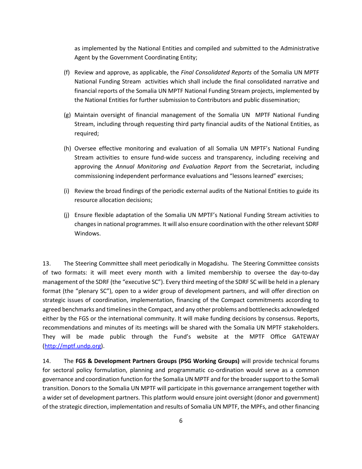as implemented by the National Entities and compiled and submitted to the Administrative Agent by the Government Coordinating Entity;

- (f) Review and approve, as applicable, the *Final Consolidated Reports* of the Somalia UN MPTF National Funding Stream activities which shall include the final consolidated narrative and financial reports of the Somalia UN MPTF National Funding Stream projects, implemented by the National Entities for further submission to Contributors and public dissemination;
- (g) Maintain oversight of financial management of the Somalia UN MPTF National Funding Stream, including through requesting third party financial audits of the National Entities, as required;
- (h) Oversee effective monitoring and evaluation of all Somalia UN MPTF's National Funding Stream activities to ensure fund-wide success and transparency, including receiving and approving the *Annual Monitoring and Evaluation Report* from the Secretariat, including commissioning independent performance evaluations and "lessons learned" exercises;
- (i) Review the broad findings of the periodic external audits of the National Entities to guide its resource allocation decisions;
- (j) Ensure flexible adaptation of the Somalia UN MPTF's National Funding Stream activities to changes in national programmes. It will also ensure coordination with the other relevant SDRF Windows.

13. The Steering Committee shall meet periodically in Mogadishu. The Steering Committee consists of two formats: it will meet every month with a limited membership to oversee the day-to-day management of the SDRF (the "executive SC"). Every third meeting of the SDRF SC will be held in a plenary format (the "plenary SC"), open to a wider group of development partners, and will offer direction on strategic issues of coordination, implementation, financing of the Compact commitments according to agreed benchmarks and timelines in the Compact, and any other problems and bottlenecks acknowledged either by the FGS or the international community. It will make funding decisions by consensus. Reports, recommendations and minutes of its meetings will be shared with the Somalia UN MPTF stakeholders. They will be made public through the Fund's website at the MPTF Office GATEWAY [\(http://mptf.undp.org\)](http://mptf.undp.org/).

14. The **FGS & Development Partners Groups (PSG Working Groups)** will provide technical forums for sectoral policy formulation, planning and programmatic co-ordination would serve as a common governance and coordination function for the Somalia UN MPTF and for the broader support to the Somali transition. Donors to the Somalia UN MPTF will participate in this governance arrangement together with a wider set of development partners. This platform would ensure joint oversight (donor and government) of the strategic direction, implementation and results of Somalia UN MPTF, the MPFs, and other financing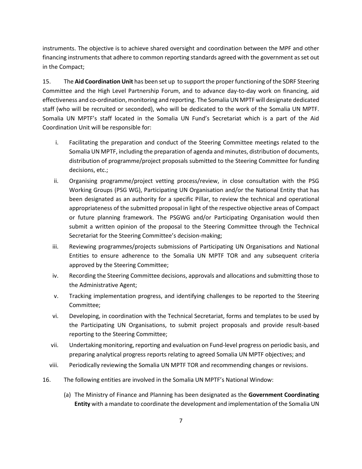instruments. The objective is to achieve shared oversight and coordination between the MPF and other financing instruments that adhere to common reporting standards agreed with the government as set out in the Compact;

15. The **Aid Coordination Unit** has been set up to support the proper functioning of the SDRF Steering Committee and the High Level Partnership Forum, and to advance day-to-day work on financing, aid effectiveness and co-ordination, monitoring and reporting. The Somalia UN MPTF will designate dedicated staff (who will be recruited or seconded), who will be dedicated to the work of the Somalia UN MPTF. Somalia UN MPTF's staff located in the Somalia UN Fund's Secretariat which is a part of the Aid Coordination Unit will be responsible for:

- i. Facilitating the preparation and conduct of the Steering Committee meetings related to the Somalia UN MPTF, including the preparation of agenda and minutes, distribution of documents, distribution of programme/project proposals submitted to the Steering Committee for funding decisions, etc.;
- ii. Organising programme/project vetting process/review, in close consultation with the PSG Working Groups (PSG WG), Participating UN Organisation and/or the National Entity that has been designated as an authority for a specific Pillar, to review the technical and operational appropriateness of the submitted proposal in light of the respective objective areas of Compact or future planning framework. The PSGWG and/or Participating Organisation would then submit a written opinion of the proposal to the Steering Committee through the Technical Secretariat for the Steering Committee's decision-making;
- iii. Reviewing programmes/projects submissions of Participating UN Organisations and National Entities to ensure adherence to the Somalia UN MPTF TOR and any subsequent criteria approved by the Steering Committee;
- iv. Recording the Steering Committee decisions, approvals and allocations and submitting those to the Administrative Agent;
- v. Tracking implementation progress, and identifying challenges to be reported to the Steering Committee;
- vi. Developing, in coordination with the Technical Secretariat, forms and templates to be used by the Participating UN Organisations, to submit project proposals and provide result-based reporting to the Steering Committee;
- vii. Undertaking monitoring, reporting and evaluation on Fund-level progress on periodic basis, and preparing analytical progress reports relating to agreed Somalia UN MPTF objectives; and
- viii. Periodically reviewing the Somalia UN MPTF TOR and recommending changes or revisions.
- 16. The following entities are involved in the Somalia UN MPTF's National Window:
	- (a) The Ministry of Finance and Planning has been designated as the **Government Coordinating Entity** with a mandate to coordinate the development and implementation of the Somalia UN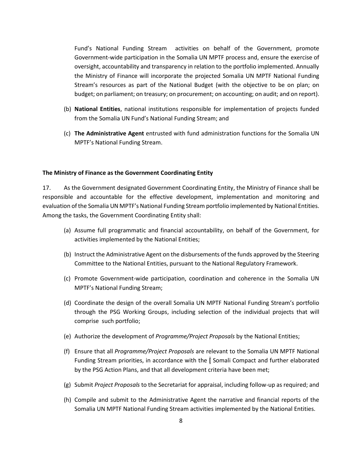Fund's National Funding Stream activities on behalf of the Government, promote Government-wide participation in the Somalia UN MPTF process and, ensure the exercise of oversight, accountability and transparency in relation to the portfolio implemented. Annually the Ministry of Finance will incorporate the projected Somalia UN MPTF National Funding Stream's resources as part of the National Budget (with the objective to be on plan; on budget; on parliament; on treasury; on procurement; on accounting; on audit; and on report).

- (b) **National Entities**, national institutions responsible for implementation of projects funded from the Somalia UN Fund's National Funding Stream; and
- (c) **The Administrative Agent** entrusted with fund administration functions for the Somalia UN MPTF's National Funding Stream.

#### **The Ministry of Finance as the Government Coordinating Entity**

17. As the Government designated Government Coordinating Entity, the Ministry of Finance shall be responsible and accountable for the effective development, implementation and monitoring and evaluation of the Somalia UN MPTF's National Funding Stream portfolio implemented by National Entities. Among the tasks, the Government Coordinating Entity shall:

- (a) Assume full programmatic and financial accountability, on behalf of the Government, for activities implemented by the National Entities;
- (b) Instruct the Administrative Agent on the disbursements of the funds approved by the Steering Committee to the National Entities, pursuant to the National Regulatory Framework.
- (c) Promote Government-wide participation, coordination and coherence in the Somalia UN MPTF's National Funding Stream;
- (d) Coordinate the design of the overall Somalia UN MPTF National Funding Stream's portfolio through the PSG Working Groups, including selection of the individual projects that will comprise such portfolio;
- (e) Authorize the development of *Programme/Project Proposals* by the National Entities;
- (f) Ensure that all *Programme/Project Proposals* are relevant to the Somalia UN MPTF National Funding Stream priorities, in accordance with the [ Somali Compact and further elaborated by the PSG Action Plans, and that all development criteria have been met;
- (g) Submit *Project Proposals* to the Secretariat for appraisal, including follow-up as required; and
- (h) Compile and submit to the Administrative Agent the narrative and financial reports of the Somalia UN MPTF National Funding Stream activities implemented by the National Entities.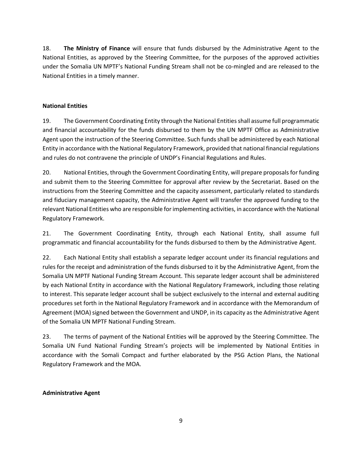18. **The Ministry of Finance** will ensure that funds disbursed by the Administrative Agent to the National Entities, as approved by the Steering Committee, for the purposes of the approved activities under the Somalia UN MPTF's National Funding Stream shall not be co-mingled and are released to the National Entities in a timely manner.

#### **National Entities**

19. The Government Coordinating Entity through the National Entitiesshall assume full programmatic and financial accountability for the funds disbursed to them by the UN MPTF Office as Administrative Agent upon the instruction of the Steering Committee. Such funds shall be administered by each National Entity in accordance with the National Regulatory Framework, provided that national financial regulations and rules do not contravene the principle of UNDP's Financial Regulations and Rules.

20. National Entities, through the Government Coordinating Entity, will prepare proposals for funding and submit them to the Steering Committee for approval after review by the Secretariat. Based on the instructions from the Steering Committee and the capacity assessment, particularly related to standards and fiduciary management capacity, the Administrative Agent will transfer the approved funding to the relevant National Entities who are responsible for implementing activities, in accordance with the National Regulatory Framework.

21. The Government Coordinating Entity, through each National Entity, shall assume full programmatic and financial accountability for the funds disbursed to them by the Administrative Agent.

22. Each National Entity shall establish a separate ledger account under its financial regulations and rules for the receipt and administration of the funds disbursed to it by the Administrative Agent, from the Somalia UN MPTF National Funding Stream Account. This separate ledger account shall be administered by each National Entity in accordance with the National Regulatory Framework, including those relating to interest. This separate ledger account shall be subject exclusively to the internal and external auditing procedures set forth in the National Regulatory Framework and in accordance with the Memorandum of Agreement (MOA) signed between the Government and UNDP, in its capacity as the Administrative Agent of the Somalia UN MPTF National Funding Stream.

23. The terms of payment of the National Entities will be approved by the Steering Committee. The Somalia UN Fund National Funding Stream's projects will be implemented by National Entities in accordance with the Somali Compact and further elaborated by the PSG Action Plans, the National Regulatory Framework and the MOA.

#### **Administrative Agent**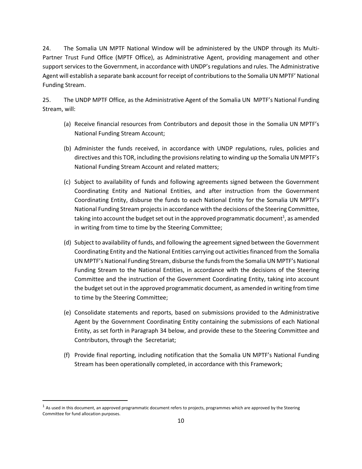24. The Somalia UN MPTF National Window will be administered by the UNDP through its Multi-Partner Trust Fund Office (MPTF Office), as Administrative Agent, providing management and other support services to the Government, in accordance with UNDP's regulations and rules. The Administrative Agent will establish a separate bank account for receipt of contributions to the Somalia UN MPTF' National Funding Stream.

25. The UNDP MPTF Office, as the Administrative Agent of the Somalia UN MPTF's National Funding Stream, will:

- (a) Receive financial resources from Contributors and deposit those in the Somalia UN MPTF's National Funding Stream Account;
- (b) Administer the funds received, in accordance with UNDP regulations, rules, policies and directives and this TOR, including the provisions relating to winding up the Somalia UN MPTF's National Funding Stream Account and related matters;
- (c) Subject to availability of funds and following agreements signed between the Government Coordinating Entity and National Entities, and after instruction from the Government Coordinating Entity, disburse the funds to each National Entity for the Somalia UN MPTF's National Funding Stream projects in accordance with the decisions of the Steering Committee, taking into account the budget set out in the approved programmatic document $^{\rm 1}$ , as amended in writing from time to time by the Steering Committee;
- (d) Subject to availability of funds, and following the agreement signed between the Government Coordinating Entity and the National Entities carrying out activities financed from the Somalia UN MPTF's National Funding Stream, disburse the funds from the Somalia UN MPTF's National Funding Stream to the National Entities, in accordance with the decisions of the Steering Committee and the instruction of the Government Coordinating Entity, taking into account the budget set out in the approved programmatic document, as amended in writing from time to time by the Steering Committee;
- (e) Consolidate statements and reports, based on submissions provided to the Administrative Agent by the Government Coordinating Entity containing the submissions of each National Entity, as set forth in Paragraph 34 below, and provide these to the Steering Committee and Contributors, through the Secretariat;
- (f) Provide final reporting, including notification that the Somalia UN MPTF's National Funding Stream has been operationally completed, in accordance with this Framework;

 $\overline{a}$ 

 $1$  As used in this document, an approved programmatic document refers to projects, programmes which are approved by the Steering Committee for fund allocation purposes.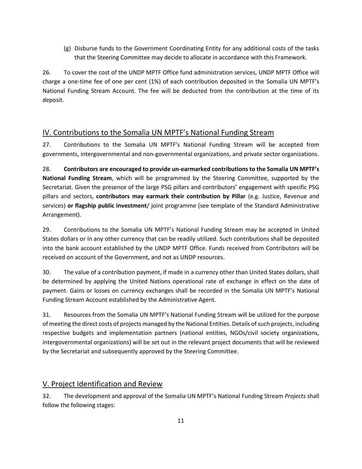(g) Disburse funds to the Government Coordinating Entity for any additional costs of the tasks that the Steering Committee may decide to allocate in accordance with this Framework.

26. To cover the cost of the UNDP MPTF Office fund administration services, UNDP MPTF Office will charge a one-time fee of one per cent (1%) of each contribution deposited in the Somalia UN MPTF's National Funding Stream Account. The fee will be deducted from the contribution at the time of its deposit.

## <span id="page-10-0"></span>IV. Contributions to the Somalia UN MPTF's National Funding Stream

27. Contributions to the Somalia UN MPTF's National Funding Stream will be accepted from governments, intergovernmental and non-governmental organizations, and private sector organizations.

28. **Contributors are encouraged to provide un-earmarked contributions to the Somalia UN MPTF's National Funding Stream**, which will be programmed by the Steering Committee, supported by the Secretariat. Given the presence of the large PSG pillars and contributors' engagement with specific PSG pillars and sectors, **contributors may earmark their contribution by Pillar** (e.g. Justice, Revenue and services) **or flagship public investment**/ joint programme (see template of the Standard Administrative Arrangement).

29. Contributions to the Somalia UN MPTF's National Funding Stream may be accepted in United States dollars or in any other currency that can be readily utilized. Such contributions shall be deposited into the bank account established by the UNDP MPTF Office. Funds received from Contributors will be received on account of the Government, and not as UNDP resources.

30. The value of a contribution payment, if made in a currency other than United States dollars, shall be determined by applying the United Nations operational rate of exchange in effect on the date of payment. Gains or losses on currency exchanges shall be recorded in the Somalia UN MPTF's National Funding Stream Account established by the Administrative Agent.

31. Resources from the Somalia UN MPTF's National Funding Stream will be utilized for the purpose of meeting the direct costs of projects managed by the National Entities. Details of such projects, including respective budgets and implementation partners (national entities, NGOs/civil society organizations, intergovernmental organizations) will be set out in the relevant project documents that will be reviewed by the Secretariat and subsequently approved by the Steering Committee.

## <span id="page-10-1"></span>V. Project Identification and Review

32. The development and approval of the Somalia UN MPTF's National Funding Stream *Projects* shall follow the following stages: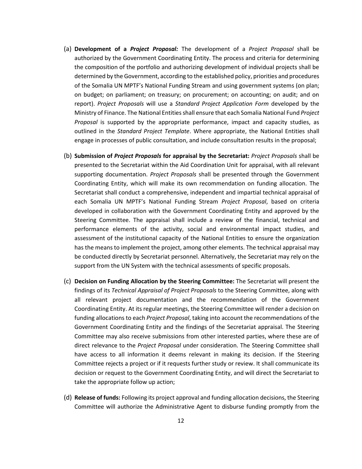- (a) **Development of a** *Project Proposal:* The development of a *Project Proposal* shall be authorized by the Government Coordinating Entity. The process and criteria for determining the composition of the portfolio and authorizing development of individual projects shall be determined by the Government, according to the established policy, priorities and procedures of the Somalia UN MPTF's National Funding Stream and using government systems (on plan; on budget; on parliament; on treasury; on procurement; on accounting; on audit; and on report). *Project Proposals* will use a *Standard Project Application Form* developed by the Ministry of Finance. The National Entities shall ensure that each Somalia National Fund *Project Proposal* is supported by the appropriate performance, impact and capacity studies, as outlined in the *Standard Project Template*. Where appropriate, the National Entities shall engage in processes of public consultation, and include consultation results in the proposal;
- (b) **Submission of** *Project Proposals* **for appraisal by the Secretariat:** *Project Proposals* shall be presented to the Secretariat within the Aid Coordination Unit for appraisal, with all relevant supporting documentation. *Project Proposals* shall be presented through the Government Coordinating Entity, which will make its own recommendation on funding allocation. The Secretariat shall conduct a comprehensive, independent and impartial technical appraisal of each Somalia UN MPTF's National Funding Stream *Project Proposal*, based on criteria developed in collaboration with the Government Coordinating Entity and approved by the Steering Committee. The appraisal shall include a review of the financial, technical and performance elements of the activity, social and environmental impact studies, and assessment of the institutional capacity of the National Entities to ensure the organization has the means to implement the project, among other elements. The technical appraisal may be conducted directly by Secretariat personnel. Alternatively, the Secretariat may rely on the support from the UN System with the technical assessments of specific proposals.
- (c) **Decision on Funding Allocation by the Steering Committee:** The Secretariat will present the findings of its *Technical Appraisal of Project Proposals* to the Steering Committee, along with all relevant project documentation and the recommendation of the Government Coordinating Entity. At its regular meetings, the Steering Committee will render a decision on funding allocations to each *Project Proposal*, taking into account the recommendations of the Government Coordinating Entity and the findings of the Secretariat appraisal. The Steering Committee may also receive submissions from other interested parties, where these are of direct relevance to the *Project Proposal* under consideration. The Steering Committee shall have access to all information it deems relevant in making its decision. If the Steering Committee rejects a project or if it requests further study or review. It shall communicate its decision or request to the Government Coordinating Entity, and will direct the Secretariat to take the appropriate follow up action;
- (d) **Release of funds:** Following its project approval and funding allocation decisions, the Steering Committee will authorize the Administrative Agent to disburse funding promptly from the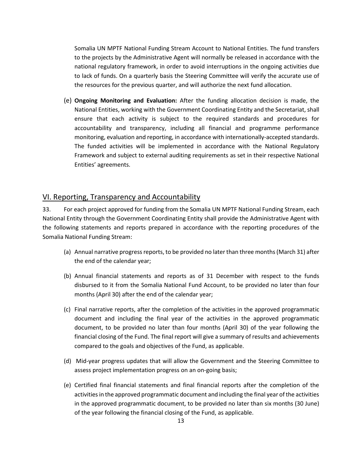Somalia UN MPTF National Funding Stream Account to National Entities. The fund transfers to the projects by the Administrative Agent will normally be released in accordance with the national regulatory framework, in order to avoid interruptions in the ongoing activities due to lack of funds. On a quarterly basis the Steering Committee will verify the accurate use of the resources for the previous quarter, and will authorize the next fund allocation.

(e) **Ongoing Monitoring and Evaluation:** After the funding allocation decision is made, the National Entities, working with the Government Coordinating Entity and the Secretariat, shall ensure that each activity is subject to the required standards and procedures for accountability and transparency, including all financial and programme performance monitoring, evaluation and reporting, in accordance with internationally-accepted standards. The funded activities will be implemented in accordance with the National Regulatory Framework and subject to external auditing requirements as set in their respective National Entities' agreements.

### <span id="page-12-0"></span>VI. Reporting, Transparency and Accountability

33. For each project approved for funding from the Somalia UN MPTF National Funding Stream, each National Entity through the Government Coordinating Entity shall provide the Administrative Agent with the following statements and reports prepared in accordance with the reporting procedures of the Somalia National Funding Stream:

- (a) Annual narrative progress reports, to be provided no later than three months (March 31) after the end of the calendar year;
- (b) Annual financial statements and reports as of 31 December with respect to the funds disbursed to it from the Somalia National Fund Account, to be provided no later than four months (April 30) after the end of the calendar year;
- (c) Final narrative reports, after the completion of the activities in the approved programmatic document and including the final year of the activities in the approved programmatic document, to be provided no later than four months (April 30) of the year following the financial closing of the Fund. The final report will give a summary of results and achievements compared to the goals and objectives of the Fund, as applicable.
- (d) Mid-year progress updates that will allow the Government and the Steering Committee to assess project implementation progress on an on-going basis;
- (e) Certified final financial statements and final financial reports after the completion of the activities in the approved programmatic document and including the final year of the activities in the approved programmatic document, to be provided no later than six months (30 June) of the year following the financial closing of the Fund, as applicable.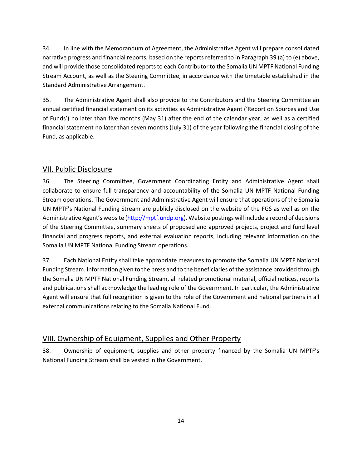34. In line with the Memorandum of Agreement, the Administrative Agent will prepare consolidated narrative progress and financial reports, based on the reports referred to in Paragraph 39 (a) to (e) above, and will provide those consolidated reports to each Contributor to the Somalia UN MPTF National Funding Stream Account, as well as the Steering Committee, in accordance with the timetable established in the Standard Administrative Arrangement.

35. The Administrative Agent shall also provide to the Contributors and the Steering Committee an annual certified financial statement on its activities as Administrative Agent ('Report on Sources and Use of Funds') no later than five months (May 31) after the end of the calendar year, as well as a certified financial statement no later than seven months (July 31) of the year following the financial closing of the Fund, as applicable.

## <span id="page-13-0"></span>VII. Public Disclosure

36. The Steering Committee, Government Coordinating Entity and Administrative Agent shall collaborate to ensure full transparency and accountability of the Somalia UN MPTF National Funding Stream operations. The Government and Administrative Agent will ensure that operations of the Somalia UN MPTF's National Funding Stream are publicly disclosed on the website of the FGS as well as on the Administrative Agent's website ([http://mptf.undp.org\)](http://mptf.undp.org/). Website postings will include a record of decisions of the Steering Committee, summary sheets of proposed and approved projects, project and fund level financial and progress reports, and external evaluation reports, including relevant information on the Somalia UN MPTF National Funding Stream operations.

37. Each National Entity shall take appropriate measures to promote the Somalia UN MPTF National Funding Stream. Information given to the press and to the beneficiaries of the assistance provided through the Somalia UN MPTF National Funding Stream, all related promotional material, official notices, reports and publications shall acknowledge the leading role of the Government. In particular, the Administrative Agent will ensure that full recognition is given to the role of the Government and national partners in all external communications relating to the Somalia National Fund.

## <span id="page-13-1"></span>VIII. Ownership of Equipment, Supplies and Other Property

38. Ownership of equipment, supplies and other property financed by the Somalia UN MPTF's National Funding Stream shall be vested in the Government.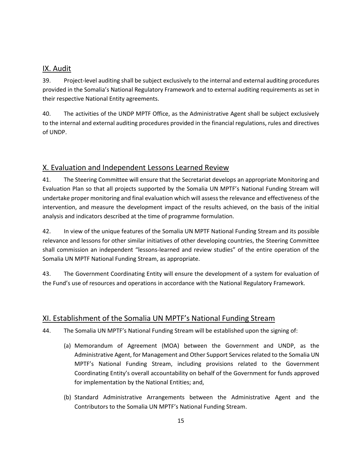## <span id="page-14-0"></span>IX. Audit

39. Project-level auditing shall be subject exclusively to the internal and external auditing procedures provided in the Somalia's National Regulatory Framework and to external auditing requirements as set in their respective National Entity agreements.

40. The activities of the UNDP MPTF Office, as the Administrative Agent shall be subject exclusively to the internal and external auditing procedures provided in the financial regulations, rules and directives of UNDP.

## <span id="page-14-1"></span>X. Evaluation and Independent Lessons Learned Review

41. The Steering Committee will ensure that the Secretariat develops an appropriate Monitoring and Evaluation Plan so that all projects supported by the Somalia UN MPTF's National Funding Stream will undertake proper monitoring and final evaluation which will assess the relevance and effectiveness of the intervention, and measure the development impact of the results achieved, on the basis of the initial analysis and indicators described at the time of programme formulation.

42. In view of the unique features of the Somalia UN MPTF National Funding Stream and its possible relevance and lessons for other similar initiatives of other developing countries, the Steering Committee shall commission an independent "lessons-learned and review studies" of the entire operation of the Somalia UN MPTF National Funding Stream, as appropriate.

43. The Government Coordinating Entity will ensure the development of a system for evaluation of the Fund's use of resources and operations in accordance with the National Regulatory Framework.

## <span id="page-14-2"></span>XI. Establishment of the Somalia UN MPTF's National Funding Stream

- 44. The Somalia UN MPTF's National Funding Stream will be established upon the signing of:
	- (a) Memorandum of Agreement (MOA) between the Government and UNDP, as the Administrative Agent, for Management and Other Support Services related to the Somalia UN MPTF's National Funding Stream, including provisions related to the Government Coordinating Entity's overall accountability on behalf of the Government for funds approved for implementation by the National Entities; and,
	- (b) Standard Administrative Arrangements between the Administrative Agent and the Contributors to the Somalia UN MPTF's National Funding Stream.